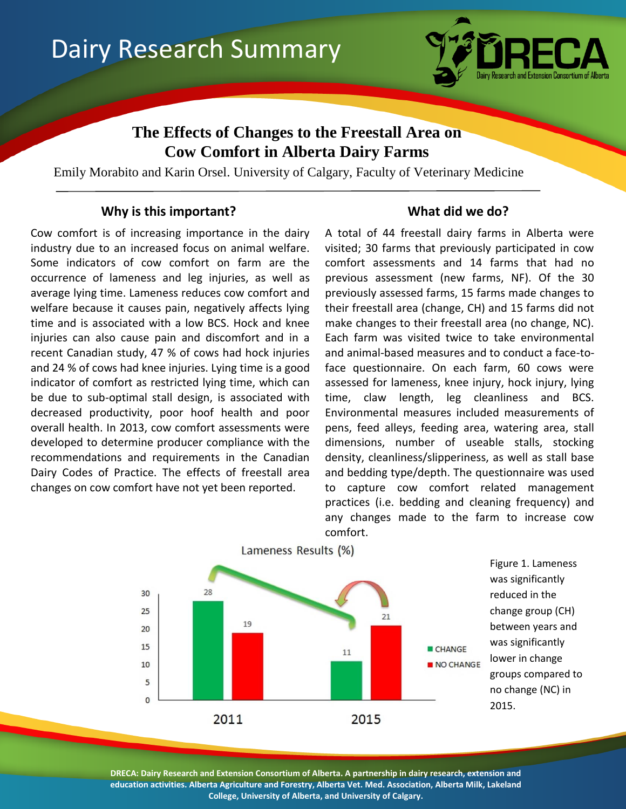

# **The Effects of Changes to the Freestall Area on Cow Comfort in Alberta Dairy Farms**

Emily Morabito and Karin Orsel. University of Calgary, Faculty of Veterinary Medicine

## **Why is this important? What did we do?**

Cow comfort is of increasing importance in the dairy industry due to an increased focus on animal welfare. Some indicators of cow comfort on farm are the occurrence of lameness and leg injuries, as well as average lying time. Lameness reduces cow comfort and welfare because it causes pain, negatively affects lying time and is associated with a low BCS. Hock and knee injuries can also cause pain and discomfort and in a recent Canadian study, 47 % of cows had hock injuries and 24 % of cows had knee injuries. Lying time is a good indicator of comfort as restricted lying time, which can be due to sub-optimal stall design, is associated with decreased productivity, poor hoof health and poor overall health. In 2013, cow comfort assessments were developed to determine producer compliance with the recommendations and requirements in the Canadian Dairy Codes of Practice. The effects of freestall area changes on cow comfort have not yet been reported.

A total of 44 freestall dairy farms in Alberta were visited; 30 farms that previously participated in cow comfort assessments and 14 farms that had no previous assessment (new farms, NF). Of the 30 previously assessed farms, 15 farms made changes to their freestall area (change, CH) and 15 farms did not make changes to their freestall area (no change, NC). Each farm was visited twice to take environmental and animal-based measures and to conduct a face-toface questionnaire. On each farm, 60 cows were assessed for lameness, knee injury, hock injury, lying time, claw length, leg cleanliness and BCS. Environmental measures included measurements of pens, feed alleys, feeding area, watering area, stall dimensions, number of useable stalls, stocking density, cleanliness/slipperiness, as well as stall base and bedding type/depth. The questionnaire was used to capture cow comfort related management practices (i.e. bedding and cleaning frequency) and any changes made to the farm to increase cow comfort.



**DRECA: Dairy Research and Extension Consortium of Alberta. A partnership in dairy research, extension and education activities. Alberta Agriculture and Forestry, Alberta Vet. Med. Association, Alberta Milk, Lakeland College, University of Alberta, and University of Calgary.**